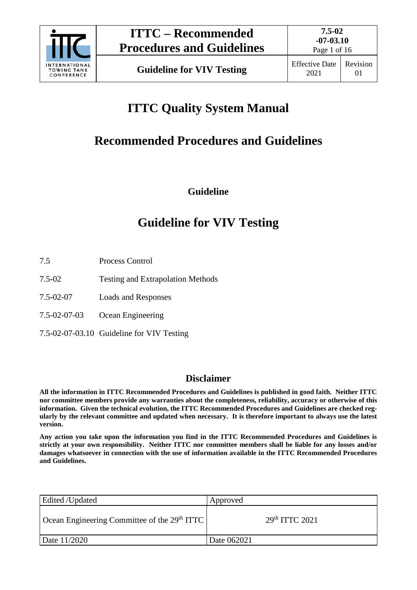

Page 1 of 16

# **ITTC Quality System Manual**

# **Recommended Procedures and Guidelines**

**Guideline**

## **Guideline for VIV Testing**

- 7.5 Process Control
- 7.5-02 Testing and Extrapolation Methods
- 7.5-02-07 Loads and Responses
- 7.5-02-07-03 Ocean Engineering
- 7.5-02-07-03.10 Guideline for VIV Testing

## **Disclaimer**

**All the information in ITTC Recommended Procedures and Guidelines is published in good faith. Neither ITTC nor committee members provide any warranties about the completeness, reliability, accuracy or otherwise of this information. Given the technical evolution, the ITTC Recommended Procedures and Guidelines are checked regularly by the relevant committee and updated when necessary. It is therefore important to always use the latest version.**

**Any action you take upon the information you find in the ITTC Recommended Procedures and Guidelines is strictly at your own responsibility. Neither ITTC nor committee members shall be liable for any losses and/or damages whatsoever in connection with the use of information available in the ITTC Recommended Procedures and Guidelines.**

| Edited /Updated                                | Approved         |
|------------------------------------------------|------------------|
| Ocean Engineering Committee of the $29th ITTC$ | $29th$ ITTC 2021 |
| Date 11/2020                                   | Date 062021      |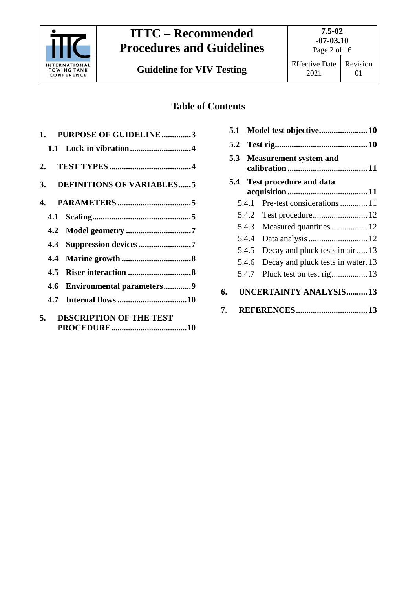

**Guideline for VIV Testing** Effective Date

## **Table of Contents**

| 1. PURPOSE OF GUIDELINE3             |  |  |
|--------------------------------------|--|--|
|                                      |  |  |
|                                      |  |  |
| 3. DEFINITIONS OF VARIABLES5         |  |  |
|                                      |  |  |
|                                      |  |  |
|                                      |  |  |
|                                      |  |  |
|                                      |  |  |
| 4.5                                  |  |  |
| 4.6 Environmental parameters9        |  |  |
| 4.7                                  |  |  |
| <b>DESCRIPTION OF THE TEST</b><br>5. |  |  |

|    | Model test objective 10<br>5.1 |                               |                                    |  |
|----|--------------------------------|-------------------------------|------------------------------------|--|
|    | 5.2                            |                               |                                    |  |
|    | 5.3                            | <b>Measurement system and</b> |                                    |  |
|    | 5.4                            |                               | <b>Test procedure and data</b>     |  |
|    |                                | 5.4.1                         |                                    |  |
|    |                                | 5.4.2                         |                                    |  |
|    |                                | 5.4.3                         | Measured quantities  12            |  |
|    |                                | 5.4.4                         | Data analysis  12                  |  |
|    |                                | 5.4.5                         | Decay and pluck tests in air  13   |  |
|    |                                | 5.4.6                         | Decay and pluck tests in water. 13 |  |
|    |                                | 5.4.7                         | Pluck test on test rig 13          |  |
| 6. |                                |                               | <b>UNCERTAINTY ANALYSIS13</b>      |  |
| 7. |                                |                               |                                    |  |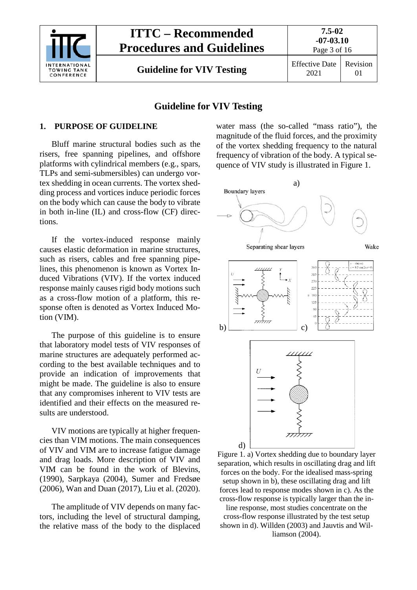

**7.5-02**

**Guideline for VIV Testing** Effective Date

2021

Revision 01

### **Guideline for VIV Testing**

#### <span id="page-2-0"></span>**1. PURPOSE OF GUIDELINE**

Bluff marine structural bodies such as the risers, free spanning pipelines, and offshore platforms with cylindrical members (e.g., spars, TLPs and semi-submersibles) can undergo vortex shedding in ocean currents. The vortex shedding process and vortices induce periodic forces on the body which can cause the body to vibrate in both in-line (IL) and cross-flow (CF) directions.

If the vortex-induced response mainly causes elastic deformation in marine structures, such as risers, cables and free spanning pipelines, this phenomenon is known as Vortex Induced Vibrations (VIV). If the vortex induced response mainly causes rigid body motions such as a cross-flow motion of a platform, this response often is denoted as Vortex Induced Motion (VIM).

The purpose of this guideline is to ensure that laboratory model tests of VIV responses of marine structures are adequately performed according to the best available techniques and to provide an indication of improvements that might be made. The guideline is also to ensure that any compromises inherent to VIV tests are identified and their effects on the measured results are understood.

VIV motions are typically at higher frequencies than VIM motions. The main consequences of VIV and VIM are to increase fatigue damage and drag loads. More description of VIV and VIM can be found in the work of Blevins, (1990), Sarpkaya (2004), Sumer and Fredsøe (2006), Wan and Duan (2017), Liu et al. (2020).

The amplitude of VIV depends on many factors, including the level of structural damping, the relative mass of the body to the displaced

water mass (the so-called "mass ratio"), the magnitude of the fluid forces, and the proximity of the vortex shedding frequency to the natural frequency of vibration of the body. A typical sequence of VIV study is illustrated in Figure 1.



Figure 1. a) Vortex shedding due to boundary layer separation, which results in oscillating drag and lift forces on the body. For the idealised mass-spring setup shown in b), these oscillating drag and lift forces lead to response modes shown in c). As the cross**-**flow response is typically larger than the in-

line response, most studies concentrate on the cross**-**flow response illustrated by the test setup shown in d). Willden (2003) and Jauvtis and Williamson (2004).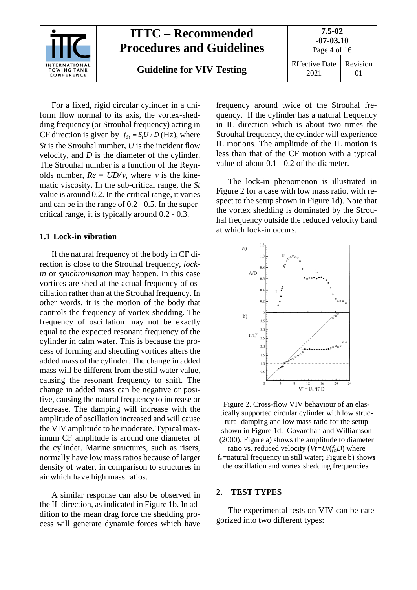

For a fixed, rigid circular cylinder in a uniform flow normal to its axis, the vortex-shedding frequency (or Strouhal frequency) acting in CF direction is given by  $f_{St} = S_t U / D$  (Hz), where *St* is the Strouhal number, *U* is the incident flow velocity, and *D* is the diameter of the cylinder. The Strouhal number is a function of the Reynolds number,  $Re = UD/v$ , where v is the kinematic viscosity. In the sub-critical range, the *St* value is around 0.2. In the critical range, it varies and can be in the range of 0.2 - 0.5. In the supercritical range, it is typically around 0.2 - 0.3.

#### <span id="page-3-0"></span>**1.1 Lock-in vibration**

If the natural frequency of the body in CF direction is close to the Strouhal frequency, *lockin* or *synchronisation* may happen. In this case vortices are shed at the actual frequency of oscillation rather than at the Strouhal frequency. In other words, it is the motion of the body that controls the frequency of vortex shedding. The frequency of oscillation may not be exactly equal to the expected resonant frequency of the cylinder in calm water. This is because the process of forming and shedding vortices alters the added mass of the cylinder. The change in added mass will be different from the still water value, causing the resonant frequency to shift. The change in added mass can be negative or positive, causing the natural frequency to increase or decrease. The damping will increase with the amplitude of oscillation increased and will cause the VIV amplitude to be moderate. Typical maximum CF amplitude is around one diameter of the cylinder. Marine structures, such as risers, normally have low mass ratios because of larger density of water, in comparison to structures in air which have high mass ratios.

A similar response can also be observed in the IL direction, as indicated in Figure 1b. In addition to the mean drag force the shedding process will generate dynamic forces which have frequency around twice of the Strouhal frequency. If the cylinder has a natural frequency in IL direction which is about two times the Strouhal frequency, the cylinder will experience IL motions. The amplitude of the IL motion is less than that of the CF motion with a typical value of about 0.1 - 0.2 of the diameter.

The lock-in phenomenon is illustrated in Figure 2 for a case with low mass ratio, with respect to the setup shown in Figure 1d). Note that the vortex shedding is dominated by the Strouhal frequency outside the reduced velocity band at which lock-in occurs.



Figure 2. Cross-flow VIV behaviour of an elastically supported circular cylinder with low structural damping and low mass ratio for the setup shown in Figure 1d, Govardhan and Williamson (2000). Figure a) shows the amplitude to diameter ratio vs. reduced velocity  $(Vr=U/(f_nD))$  where

fn=natural frequency in still water**;** Figure b) show**s** the oscillation and vortex shedding frequencies.

#### <span id="page-3-1"></span>**2. TEST TYPES**

The experimental tests on VIV can be categorized into two different types: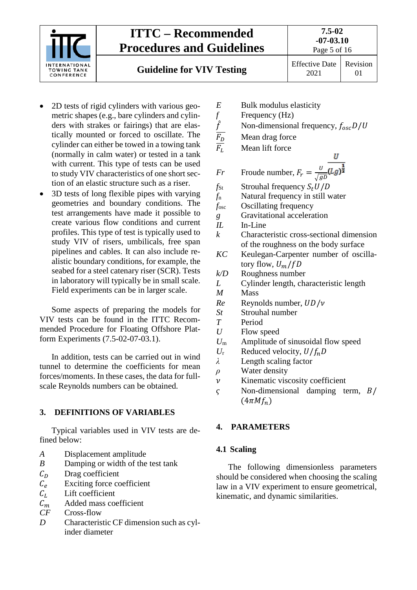

**Guideline for VIV Testing** Effective Date

2021

Revision 01

- 2D tests of rigid cylinders with various geometric shapes (e.g., bare cylinders and cylinders with strakes or fairings) that are elastically mounted or forced to oscillate. The cylinder can either be towed in a towing tank (normally in calm water) or tested in a tank with current. This type of tests can be used to study VIV characteristics of one short section of an elastic structure such as a riser.
- 3D tests of long flexible pipes with varying geometries and boundary conditions. The test arrangements have made it possible to create various flow conditions and current profiles. This type of test is typically used to study VIV of risers, umbilicals, free span pipelines and cables. It can also include realistic boundary conditions, for example, the seabed for a steel catenary riser (SCR). Tests in laboratory will typically be in small scale. Field experiments can be in larger scale.

Some aspects of preparing the models for VIV tests can be found in the ITTC Recommended Procedure for Floating Offshore Platform Experiments (7.5-02-07-03.1).

In addition, tests can be carried out in wind tunnel to determine the coefficients for mean forces/moments. In these cases, the data for fullscale Reynolds numbers can be obtained.

#### <span id="page-4-0"></span>**3. DEFINITIONS OF VARIABLES**

Typical variables used in VIV tests are defined below:

- <span id="page-4-1"></span>*A* Displacement amplitude
- *B* Damping or width of the test tank
- 
- $C_D$  Drag coefficient<br>  $C_e$  Exciting force co  $C_e$  Exciting force coefficient<br>  $C_l$  Lift coefficient
- 
- $C_L$  Lift coefficient<br>  $C_m$  Added mass co  $C_m$  Added mass coefficient<br>  $CF$  Cross-flow
- Cross-flow
- *D* Characteristic CF dimension such as cylinder diameter
- - *f* Frequency (Hz)
- *E* Bulk modulus elasticity<br> *f* Frequency (Hz)<br> *F*<sub>D</sub> Mean drag force<br> *F*<sub>L</sub> Mean lift force Non-dimensional frequency,  $f_{osc}D/U$ 
	- Mean drag force

Mean lift force

- 
- 
- *Fr* Froude number,  $F_r = \frac{v}{\sqrt{g}}$  $f_{\text{St}}$  Strouhal frequency  $S_t U/D$ <br> $f_{\text{n}}$  Natural frequency in still v **Natural frequency in still water** *f*osc Oscillating frequency *g* Gravitational acceleration *IL* In-Line *k* Characteristic cross-sectional dimension of the roughness on the body surface *KC* Keulegan-Carpenter number of oscillatory flow,  $U_m/fD$ *k/D* Roughness number *L* Cylinder length, characteristic length *M* Mass  $Re$  Reynolds number,  $UD/v$ <br>*St* Strouhal number *St* Strouhal number *T* Period *U* Flow speed *U*<sup>m</sup> Amplitude of sinusoidal flow speed  $U_r$  Reduced velocity,  $U/f_nD$ <br> $\lambda$  Length scaling factor Length scaling factor
- *ρ* Water density
- $\nu$  Kinematic viscosity coefficient<br>  $\varsigma$  Non-dimensional damping to
- Non-dimensional damping term,  $B/$  $(4\pi M f_n)$

#### <span id="page-4-2"></span>**4. PARAMETERS**

#### **4.1 Scaling**

The following dimensionless parameters should be considered when choosing the scaling law in a VIV experiment to ensure geometrical, kinematic, and dynamic similarities.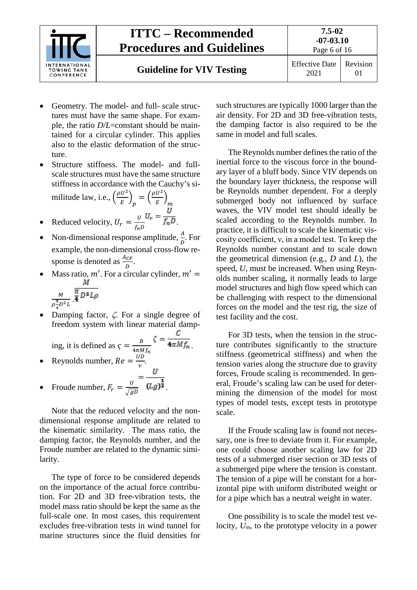

- Geometry. The model- and full- scale structures must have the same shape. For example, the ratio *D/L*=constant should be maintained for a circular cylinder. This applies also to the elastic deformation of the structure.
- Structure stiffness. The model- and fullscale structures must have the same structure stiffness in accordance with the Cauchy's si- $\sqrt{\frac{2}{}}$  $\sqrt{\frac{2}{}}$

militude law, i.e., 
$$
\left(\frac{\rho \sigma}{E}\right)_p = \left(\frac{\rho \sigma}{E}\right)_m
$$
  
 $\sigma$ 

- Reduced velocity,  $U_r = \frac{U}{f_n D} \frac{F_n}{f_n D}$ .
- Non-dimensional response amplitude,  $\frac{A}{D}$ . For example, the non-dimensional cross-flow response is denoted as  $\frac{A_{CF}}{D}$ .
- Mass ratio,  $m'$ . For a circular cylinder,  $m' =$

$$
\frac{M}{\rho \frac{\pi}{4} D^2 L} \cdot \overline{\mathbf{4}}^{D-1}
$$

• Damping factor,  $\zeta$ . For a single degree of freedom system with linear material damp-

ing, it is defined as 
$$
\zeta = \frac{B}{4\pi M f_n} \zeta = \frac{C}{4\pi M f_n}
$$
.

- Reynolds number,  $Re = \frac{U D}{V}$ .
- Froude number,  $F_r = \frac{v}{\sqrt{gD}}$   $(Lg)\overline{a}$ .

Note that the reduced velocity and the nondimensional response amplitude are related to the kinematic similarity. The mass ratio, the damping factor, the Reynolds number, and the Froude number are related to the dynamic similarity.

The type of force to be considered depends on the importance of the actual force contribution. For 2D and 3D free-vibration tests, the model mass ratio should be kept the same as the full-scale one. In most cases, this requirement excludes free-vibration tests in wind tunnel for marine structures since the fluid densities for such structures are typically 1000 larger than the air density. For 2D and 3D free-vibration tests, the damping factor is also required to be the same in model and full scales.

The Reynolds number defines the ratio of the inertial force to the viscous force in the boundary layer of a bluff body. Since VIV depends on the boundary layer thickness, the response will be Reynolds number dependent. For a deeply submerged body not influenced by surface waves, the VIV model test should ideally be scaled according to the Reynolds number. In practice, it is difficult to scale the kinematic viscosity coefficient, ν, in a model test. To keep the Reynolds number constant and to scale down the geometrical dimension (e.g., *D* and *L*), the speed, *U*, must be increased. When using Reynolds number scaling, it normally leads to large model structures and high flow speed which can be challenging with respect to the dimensional forces on the model and the test rig, the size of test facility and the cost.

For 3D tests, when the tension in the structure contributes significantly to the structure stiffness (geometrical stiffness) and when the tension varies along the structure due to gravity forces, Froude scaling is recommended. In general, Froude's scaling law can be used for determining the dimension of the model for most types of model tests, except tests in prototype scale.

If the Froude scaling law is found not necessary, one is free to deviate from it. For example, one could choose another scaling law for 2D tests of a submerged riser section or 3D tests of a submerged pipe where the tension is constant. The tension of a pipe will be constant for a horizontal pipe with uniform distributed weight or for a pipe which has a neutral weight in water.

One possibility is to scale the model test velocity, *Um*, to the prototype velocity in a power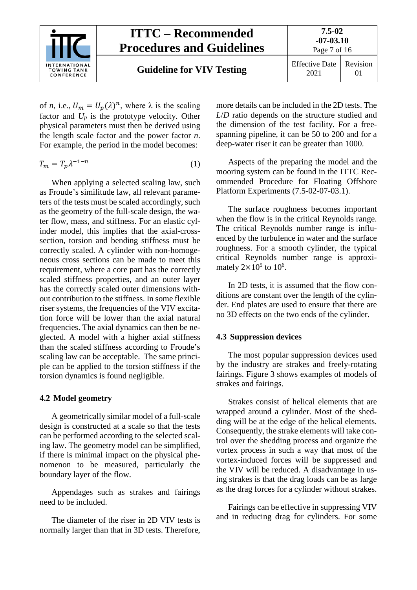

Page 7 of 16

01

**Guideline for VIV Testing** Effective Date

of *n*, i.e.,  $U_m = U_p(\lambda)^n$ , where  $\lambda$  is the scaling factor and  $U_p$  is the prototype velocity. Other physical parameters must then be derived using the length scale factor and the power factor *n*. For example, the period in the model becomes:

$$
T_m = T_p \lambda^{-1-n} \tag{1}
$$

When applying a selected scaling law, such as Froude's similitude law, all relevant parameters of the tests must be scaled accordingly, such as the geometry of the full-scale design, the water flow, mass, and stiffness. For an elastic cylinder model, this implies that the axial-crosssection, torsion and bending stiffness must be correctly scaled. A cylinder with non-homogeneous cross sections can be made to meet this requirement, where a core part has the correctly scaled stiffness properties, and an outer layer has the correctly scaled outer dimensions without contribution to the stiffness. In some flexible riser systems, the frequencies of the VIV excitation force will be lower than the axial natural frequencies. The axial dynamics can then be neglected. A model with a higher axial stiffness than the scaled stiffness according to Froude's scaling law can be acceptable. The same principle can be applied to the torsion stiffness if the torsion dynamics is found negligible.

#### <span id="page-6-0"></span>**4.2 Model geometry**

A geometrically similar model of a full-scale design is constructed at a scale so that the tests can be performed according to the selected scaling law. The geometry model can be simplified, if there is minimal impact on the physical phenomenon to be measured, particularly the boundary layer of the flow.

Appendages such as strakes and fairings need to be included.

The diameter of the riser in 2D VIV tests is normally larger than that in 3D tests. Therefore,

more details can be included in the 2D tests. The *L*/*D* ratio depends on the structure studied and the dimension of the test facility. For a freespanning pipeline, it can be 50 to 200 and for a deep-water riser it can be greater than 1000.

Aspects of the preparing the model and the mooring system can be found in the ITTC Recommended Procedure for Floating Offshore Platform Experiments (7.5-02-07-03.1).

The surface roughness becomes important when the flow is in the critical Reynolds range. The critical Reynolds number range is influenced by the turbulence in water and the surface roughness. For a smooth cylinder, the typical critical Reynolds number range is approximately  $2 \times 10^5$  to  $10^6$ .

In 2D tests, it is assumed that the flow conditions are constant over the length of the cylinder. End plates are used to ensure that there are no 3D effects on the two ends of the cylinder.

#### <span id="page-6-1"></span>**4.3 Suppression devices**

The most popular suppression devices used by the industry are strakes and freely-rotating fairings. Figure 3 shows examples of models of strakes and fairings.

Strakes consist of helical elements that are wrapped around a cylinder. Most of the shedding will be at the edge of the helical elements. Consequently, the strake elements will take control over the shedding process and organize the vortex process in such a way that most of the vortex-induced forces will be suppressed and the VIV will be reduced. A disadvantage in using strakes is that the drag loads can be as large as the drag forces for a cylinder without strakes.

Fairings can be effective in suppressing VIV and in reducing drag for cylinders. For some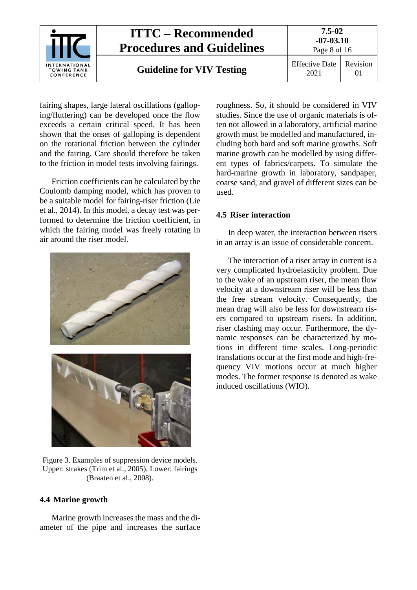

fairing shapes, large lateral oscillations (galloping/fluttering) can be developed once the flow exceeds a certain critical speed. It has been shown that the onset of galloping is dependent on the rotational friction between the cylinder and the fairing. Care should therefore be taken to the friction in model tests involving fairings.

Friction coefficients can be calculated by the Coulomb damping model, which has proven to be a suitable model for fairing-riser friction (Lie et al., 2014). In this model, a decay test was performed to determine the friction coefficient, in which the fairing model was freely rotating in air around the riser model.





Figure 3. Examples of suppression device models. Upper: strakes (Trim et al., 2005), Lower: fairings (Braaten et al., 2008).

#### <span id="page-7-0"></span>**4.4 Marine growth**

Marine growth increases the mass and the diameter of the pipe and increases the surface roughness. So, it should be considered in VIV studies. Since the use of organic materials is often not allowed in a laboratory, artificial marine growth must be modelled and manufactured, including both hard and soft marine growths. Soft marine growth can be modelled by using different types of fabrics/carpets. To simulate the hard-marine growth in laboratory, sandpaper, coarse sand, and gravel of different sizes can be used.

#### <span id="page-7-1"></span>**4.5 Riser interaction**

In deep water, the interaction between risers in an array is an issue of considerable concern.

The interaction of a riser array in current is a very complicated hydroelasticity problem. Due to the wake of an upstream riser, the mean flow velocity at a downstream riser will be less than the free stream velocity. Consequently, the mean drag will also be less for downstream risers compared to upstream risers. In addition, riser clashing may occur. Furthermore, the dynamic responses can be characterized by motions in different time scales. Long-periodic translations occur at the first mode and high-frequency VIV motions occur at much higher modes. The former response is denoted as wake induced oscillations (WIO).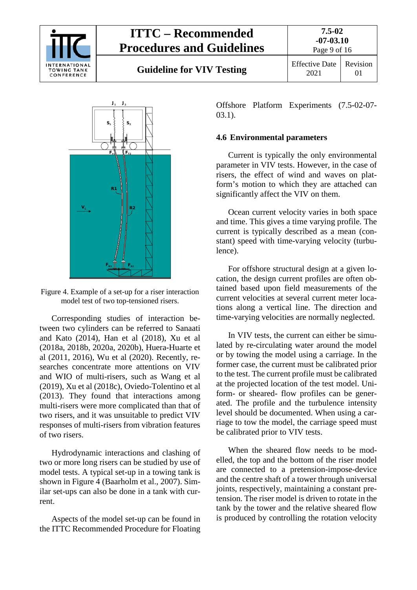

**Guideline for VIV Testing** Effective Date

Page 9 of 16 2021 Revision 01



Figure 4. Example of a set-up for a riser interaction model test of two top-tensioned risers.

Corresponding studies of interaction between two cylinders can be referred to Sanaati and Kato (2014), Han et al (2018), Xu et al (2018a, 2018b, 2020a, 2020b), Huera-Huarte et al (2011, 2016), Wu et al (2020). Recently, researches concentrate more attentions on VIV and WIO of multi-risers, such as Wang et al (2019), Xu et al (2018c), Oviedo-Tolentino et al (2013). They found that interactions among multi-risers were more complicated than that of two risers, and it was unsuitable to predict VIV responses of multi-risers from vibration features of two risers.

Hydrodynamic interactions and clashing of two or more long risers can be studied by use of model tests. A typical set-up in a towing tank is shown in Figure 4 (Baarholm et al., 2007). Similar set-ups can also be done in a tank with current.

Aspects of the model set-up can be found in the ITTC Recommended Procedure for Floating

Offshore Platform Experiments (7.5-02-07- 03.1).

#### <span id="page-8-0"></span>**4.6 Environmental parameters**

Current is typically the only environmental parameter in VIV tests. However, in the case of risers, the effect of wind and waves on platform's motion to which they are attached can significantly affect the VIV on them.

Ocean current velocity varies in both space and time. This gives a time varying profile. The current is typically described as a mean (constant) speed with time-varying velocity (turbulence).

For offshore structural design at a given location, the design current profiles are often obtained based upon field measurements of the current velocities at several current meter locations along a vertical line. The direction and time-varying velocities are normally neglected.

In VIV tests, the current can either be simulated by re-circulating water around the model or by towing the model using a carriage. In the former case, the current must be calibrated prior to the test. The current profile must be calibrated at the projected location of the test model. Uniform- or sheared- flow profiles can be generated. The profile and the turbulence intensity level should be documented. When using a carriage to tow the model, the carriage speed must be calibrated prior to VIV tests.

When the sheared flow needs to be modelled, the top and the bottom of the riser model are connected to a pretension-impose-device and the centre shaft of a tower through universal joints, respectively, maintaining a constant pretension. The riser model is driven to rotate in the tank by the tower and the relative sheared flow is produced by controlling the rotation velocity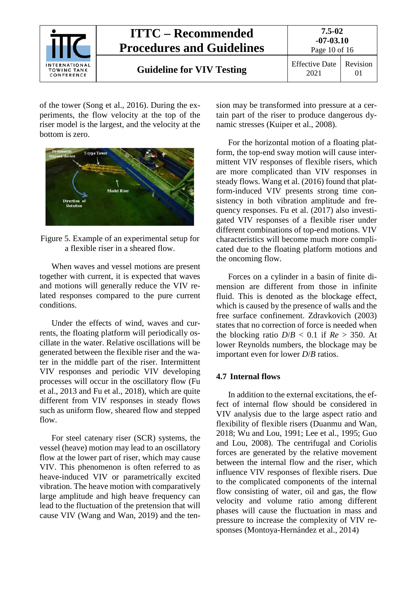

of the tower (Song et al., 2016). During the experiments, the flow velocity at the top of the riser model is the largest, and the velocity at the bottom is zero.



Figure 5. Example of an experimental setup for a flexible riser in a sheared flow.

When waves and vessel motions are present together with current, it is expected that waves and motions will generally reduce the VIV related responses compared to the pure current conditions.

Under the effects of wind, waves and currents, the floating platform will periodically oscillate in the water. Relative oscillations will be generated between the flexible riser and the water in the middle part of the riser. Intermittent VIV responses and periodic VIV developing processes will occur in the oscillatory flow (Fu et al., 2013 and Fu et al., 2018), which are quite different from VIV responses in steady flows such as uniform flow, sheared flow and stepped flow.

For steel catenary riser (SCR) systems, the vessel (heave) motion may lead to an oscillatory flow at the lower part of riser, which may cause VIV. This phenomenon is often referred to as heave-induced VIV or parametrically excited vibration. The heave motion with comparatively large amplitude and high heave frequency can lead to the fluctuation of the pretension that will cause VIV (Wang and Wan, 2019) and the tension may be transformed into pressure at a certain part of the riser to produce dangerous dynamic stresses (Kuiper et al., 2008).

For the horizontal motion of a floating platform, the top-end sway motion will cause intermittent VIV responses of flexible risers, which are more complicated than VIV responses in steady flows. Wang et al. (2016) found that platform-induced VIV presents strong time consistency in both vibration amplitude and frequency responses. Fu et al. (2017) also investigated VIV responses of a flexible riser under different combinations of top-end motions. VIV characteristics will become much more complicated due to the floating platform motions and the oncoming flow.

Forces on a cylinder in a basin of finite dimension are different from those in infinite fluid. This is denoted as the blockage effect, which is caused by the presence of walls and the free surface confinement. Zdravkovich (2003) states that no correction of force is needed when the blocking ratio  $D/B < 0.1$  if  $Re > 350$ . At lower Reynolds numbers, the blockage may be important even for lower *D*/*B* ratios.

#### <span id="page-9-0"></span>**4.7 Internal flows**

In addition to the external excitations, the effect of internal flow should be considered in VIV analysis due to the large aspect ratio and flexibility of flexible risers (Duanmu and Wan, 2018; Wu and Lou, 1991; Lee et al., 1995; Guo and Lou, 2008). The centrifugal and Coriolis forces are generated by the relative movement between the internal flow and the riser, which influence VIV responses of flexible risers. Due to the complicated components of the internal flow consisting of water, oil and gas, the flow velocity and volume ratio among different phases will cause the fluctuation in mass and pressure to increase the complexity of VIV responses (Montoya-Hernández et al., 2014)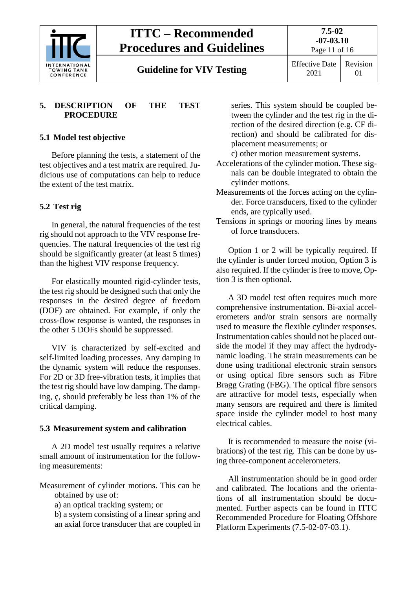

**7.5-02 -07-03.10** Page 11 of 16

**Guideline for VIV Testing** Effective Date

#### <span id="page-10-0"></span>**5. DESCRIPTION OF THE TEST PROCEDURE**

### <span id="page-10-1"></span>**5.1 Model test objective**

Before planning the tests, a statement of the test objectives and a test matrix are required. Judicious use of computations can help to reduce the extent of the test matrix.

### <span id="page-10-2"></span>**5.2 Test rig**

In general, the natural frequencies of the test rig should not approach to the VIV response frequencies. The natural frequencies of the test rig should be significantly greater (at least 5 times) than the highest VIV response frequency.

For elastically mounted rigid-cylinder tests, the test rig should be designed such that only the responses in the desired degree of freedom (DOF) are obtained. For example, if only the cross-flow response is wanted, the responses in the other 5 DOFs should be suppressed.

VIV is characterized by self-excited and self-limited loading processes. Any damping in the dynamic system will reduce the responses. For 2D or 3D free-vibration tests, it implies that the test rig should have low damping. The damping,  $\zeta$ , should preferably be less than 1% of the critical damping.

#### <span id="page-10-3"></span>**5.3 Measurement system and calibration**

A 2D model test usually requires a relative small amount of instrumentation for the following measurements:

Measurement of cylinder motions. This can be obtained by use of:

a) an optical tracking system; or

b) a system consisting of a linear spring and an axial force transducer that are coupled in

series. This system should be coupled between the cylinder and the test rig in the direction of the desired direction (e.g. CF direction) and should be calibrated for displacement measurements; or

c) other motion measurement systems.

- Accelerations of the cylinder motion. These signals can be double integrated to obtain the cylinder motions.
- Measurements of the forces acting on the cylinder. Force transducers, fixed to the cylinder ends, are typically used.
- Tensions in springs or mooring lines by means of force transducers.

Option 1 or 2 will be typically required. If the cylinder is under forced motion, Option 3 is also required. If the cylinder is free to move, Option 3 is then optional.

A 3D model test often requires much more comprehensive instrumentation. Bi-axial accelerometers and/or strain sensors are normally used to measure the flexible cylinder responses. Instrumentation cables should not be placed outside the model if they may affect the hydrodynamic loading. The strain measurements can be done using traditional electronic strain sensors or using optical fibre sensors such as Fibre Bragg Grating (FBG). The optical fibre sensors are attractive for model tests, especially when many sensors are required and there is limited space inside the cylinder model to host many electrical cables.

It is recommended to measure the noise (vibrations) of the test rig. This can be done by using three-component accelerometers.

All instrumentation should be in good order and calibrated. The locations and the orientations of all instrumentation should be documented. Further aspects can be found in ITTC Recommended Procedure for Floating Offshore Platform Experiments (7.5-02-07-03.1).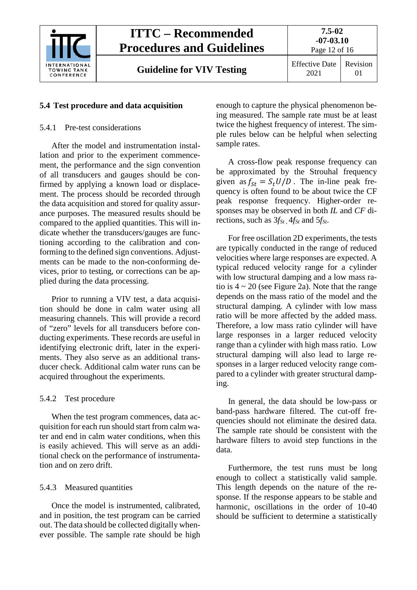

## <span id="page-11-1"></span><span id="page-11-0"></span>**5.4 Test procedure and data acquisition**

### 5.4.1 Pre-test considerations

After the model and instrumentation installation and prior to the experiment commencement, the performance and the sign convention of all transducers and gauges should be confirmed by applying a known load or displacement. The process should be recorded through the data acquisition and stored for quality assurance purposes. The measured results should be compared to the applied quantities. This will indicate whether the transducers/gauges are functioning according to the calibration and conforming to the defined sign conventions. Adjustments can be made to the non-conforming devices, prior to testing, or corrections can be applied during the data processing.

Prior to running a VIV test, a data acquisition should be done in calm water using all measuring channels. This will provide a record of "zero" levels for all transducers before conducting experiments. These records are useful in identifying electronic drift, later in the experiments. They also serve as an additional transducer check. Additional calm water runs can be acquired throughout the experiments.

## <span id="page-11-2"></span>5.4.2 Test procedure

When the test program commences, data acquisition for each run should start from calm water and end in calm water conditions, when this is easily achieved. This will serve as an additional check on the performance of instrumentation and on zero drift.

## <span id="page-11-3"></span>5.4.3 Measured quantities

Once the model is instrumented, calibrated, and in position, the test program can be carried out. The data should be collected digitally whenever possible. The sample rate should be high enough to capture the physical phenomenon being measured. The sample rate must be at least twice the highest frequency of interest. The simple rules below can be helpful when selecting sample rates.

A cross-flow peak response frequency can be approximated by the Strouhal frequency given as  $f_{St} = S_t U/D$ . The in-line peak frequency is often found to be about twice the CF peak response frequency. Higher-order responses may be observed in both *IL* and *CF* directions, such as  $3f<sub>St</sub>$ ,  $4f<sub>St</sub>$  and  $5f<sub>St</sub>$ .

For free oscillation 2D experiments, the tests are typically conducted in the range of reduced velocities where large responses are expected. A typical reduced velocity range for a cylinder with low structural damping and a low mass ratio is  $4 \sim 20$  (see Figure 2a). Note that the range depends on the mass ratio of the model and the structural damping. A cylinder with low mass ratio will be more affected by the added mass. Therefore, a low mass ratio cylinder will have large responses in a larger reduced velocity range than a cylinder with high mass ratio. Low structural damping will also lead to large responses in a larger reduced velocity range compared to a cylinder with greater structural damping.

In general, the data should be low-pass or band-pass hardware filtered. The cut-off frequencies should not eliminate the desired data. The sample rate should be consistent with the hardware filters to avoid step functions in the data.

Furthermore, the test runs must be long enough to collect a statistically valid sample. This length depends on the nature of the response. If the response appears to be stable and harmonic, oscillations in the order of 10-40 should be sufficient to determine a statistically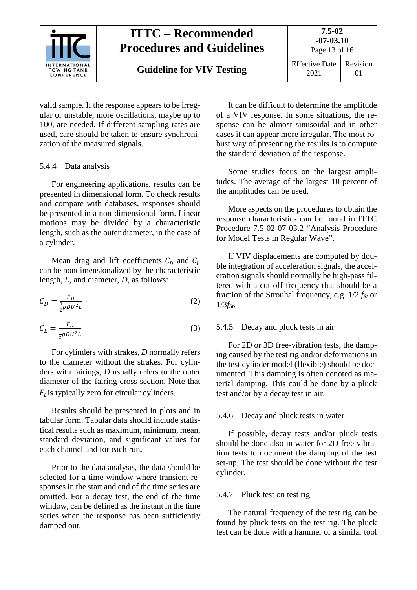

**Guideline for VIV Testing** Effective Date

2021 Revision 01

Page 13 of 16

valid sample. If the response appears to be irregular or unstable, more oscillations, maybe up to 100, are needed. If different sampling rates are used, care should be taken to ensure synchronization of the measured signals.

#### <span id="page-12-0"></span>5.4.4 Data analysis

For engineering applications, results can be presented in dimensional form. To check results and compare with databases, responses should be presented in a non-dimensional form. Linear motions may be divided by a characteristic length, such as the outer diameter, in the case of a cylinder.

Mean drag and lift coefficients  $C_D$  and  $C_L$ can be nondimensionalized by the characteristic length, *L*, and diameter, *D*, as follows:

$$
C_D = \frac{\bar{F}_D}{\frac{1}{2}\rho D U^2 L} \tag{2}
$$

$$
C_L = \frac{\bar{F}_L}{\frac{1}{2}\rho D U^2 L} \tag{3}
$$

For cylinders with strakes, *D* normally refers to the diameter without the strakes. For cylinders with fairings, *D* usually refers to the outer diameter of the fairing cross section. Note that  $\overline{F_L}$  is typically zero for circular cylinders.

Results should be presented in plots and in tabular form. Tabular data should include statistical results such as maximum, minimum, mean, standard deviation, and significant values for each channel and for each run**.**

Prior to the data analysis, the data should be selected for a time window where transient responses in the start and end of the time series are omitted. For a decay test, the end of the time window, can be defined as the instant in the time series when the response has been sufficiently damped out.

It can be difficult to determine the amplitude of a VIV response. In some situations, the response can be almost sinusoidal and in other cases it can appear more irregular. The most robust way of presenting the results is to compute the standard deviation of the response.

Some studies focus on the largest amplitudes. The average of the largest 10 percent of the amplitudes can be used.

More aspects on the procedures to obtain the response characteristics can be found in ITTC Procedure 7.5-02-07-03.2 "Analysis Procedure for Model Tests in Regular Wave".

If VIV displacements are computed by double integration of acceleration signals, the acceleration signals should normally be high-pass filtered with a cut-off frequency that should be a fraction of the Strouhal frequency, e.g. 1/2 *fSt* or  $1/3$ *f<sub>St</sub>*.

#### <span id="page-12-1"></span>5.4.5 Decay and pluck tests in air

For 2D or 3D free-vibration tests, the damping caused by the test rig and/or deformations in the test cylinder model (flexible) should be documented. This damping is often denoted as material damping. This could be done by a pluck test and/or by a decay test in air.

#### <span id="page-12-2"></span>5.4.6 Decay and pluck tests in water

If possible, decay tests and/or pluck tests should be done also in water for 2D free-vibration tests to document the damping of the test set-up. The test should be done without the test cylinder.

#### <span id="page-12-3"></span>5.4.7 Pluck test on test rig

The natural frequency of the test rig can be found by pluck tests on the test rig. The pluck test can be done with a hammer or a similar tool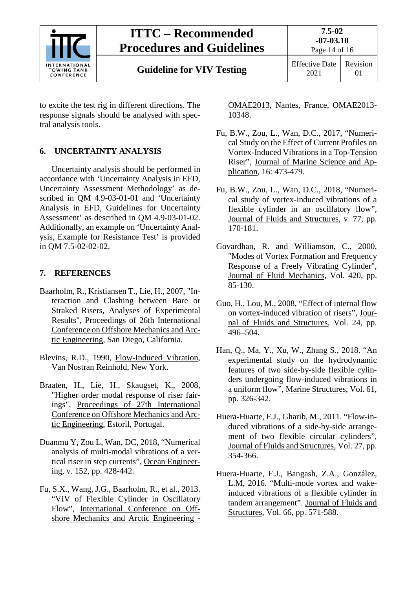

to excite the test rig in different directions. The response signals should be analysed with spectral analysis tools.

### <span id="page-13-0"></span>**6. UNCERTAINTY ANALYSIS**

Uncertainty analysis should be performed in accordance with 'Uncertainty Analysis in EFD, Uncertainty Assessment Methodology' as described in QM 4.9-03-01-01 and 'Uncertainty Analysis in EFD, Guidelines for Uncertainty Assessment' as described in QM 4.9-03-01-02. Additionally, an example on 'Uncertainty Analysis, Example for Resistance Test' is provided in QM 7.5-02-02-02.

#### <span id="page-13-1"></span>**7. REFERENCES**

- Baarholm, R., Kristiansen T., Lie, H., 2007, "Interaction and Clashing between Bare or Straked Risers, Analyses of Experimental Results", Proceedings of 26th International Conference on Offshore Mechanics and Arctic Engineering, San Diego, California.
- Blevins, R.D., 1990, Flow-Induced Vibration, Van Nostran Reinhold, New York.
- Braaten, H., Lie, H., Skaugset, K., 2008, "Higher order modal response of riser fairings", Proceedings of 27th International Conference on Offshore Mechanics and Arctic Engineering, Estoril, Portugal.
- Duanmu Y, Zou L, Wan, DC, 2018, "Numerical analysis of multi-modal vibrations of a vertical riser in step currents", Ocean Engineering, v. 152, pp. 428-442.
- Fu, S.X., Wang, J.G., Baarholm, R., et al., 2013. "VIV of Flexible Cylinder in Oscillatory Flow", International Conference on Offshore Mechanics and Arctic Engineering -

OMAE2013, Nantes, France, OMAE2013- 10348.

- Fu, B.W., Zou, L., Wan, D.C., 2017, "Numerical Study on the Effect of Current Profiles on Vortex-Induced Vibrations in a Top-Tension Riser", Journal of Marine Science and Application, 16: 473-479.
- Fu, B.W., Zou, L., Wan, D.C., 2018, "Numerical study of vortex-induced vibrations of a flexible cylinder in an oscillatory flow", Journal of Fluids and Structures, v. 77, pp. 170-181.
- Govardhan, R. and Williamson, C., 2000, "Modes of Vortex Formation and Frequency Response of a Freely Vibrating Cylinder", Journal of Fluid Mechanics, Vol. 420, pp. 85-130.
- Guo, H., Lou, M., 2008, "Effect of internal flow on vortex-induced vibration of risers", Journal of Fluids and Structures, Vol. 24, pp. 496–504.
- Han, Q., Ma, Y., Xu, W., Zhang S., 2018. "An experimental study on the hydrodynamic features of two side-by-side flexible cylinders undergoing flow-induced vibrations in a uniform flow", Marine Structures, Vol. 61, pp. 326-342.
- Huera-Huarte, F.J., Gharib, M., 2011. "Flow-induced vibrations of a side-by-side arrangement of two flexible circular cylinders", Journal of Fluids and Structures, Vol. 27, pp. 354-366.
- Huera-Huarte, F.J., Bangash, Z.A., González, L.M, 2016. "Multi-mode vortex and wakeinduced vibrations of a flexible cylinder in tandem arrangement". Journal of Fluids and Structures, Vol. 66, pp. 571-588.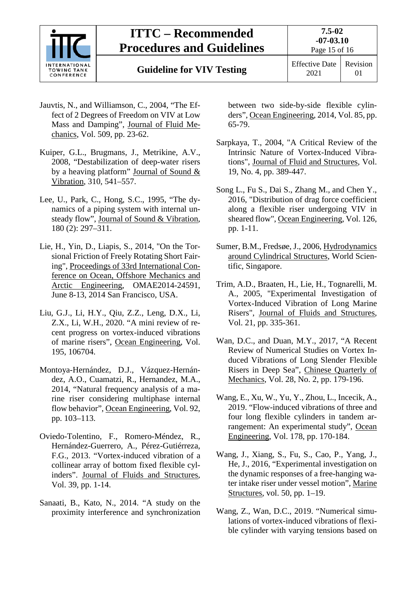

**Guideline for VIV Testing** Effective Date

- Jauvtis, N., and Williamson, C., 2004, "The Effect of 2 Degrees of Freedom on VIV at Low Mass and Damping", Journal of Fluid Mechanics, Vol. 509, pp. 23-62.
- Kuiper, G.L., Brugmans, J., Metrikine, A.V., 2008, "Destabilization of deep-water risers by a heaving platform" Journal of Sound & Vibration, 310, 541–557.
- Lee, U., Park, C., Hong, S.C., 1995, "The dynamics of a piping system with internal unsteady flow", Journal of Sound & Vibration, 180 (2): 297–311.
- Lie, H., Yin, D., Liapis, S., 2014, "On the Torsional Friction of Freely Rotating Short Fairing", Proceedings of 33rd International Conference on Ocean, Offshore Mechanics and Arctic Engineering, OMAE2014-24591, June 8-13, 2014 San Francisco, USA.
- Liu, G.J., Li, H.Y., Qiu, Z.Z., Leng, D.X., Li, Z.X., Li, W.H., 2020. "A mini review of recent progress on vortex-induced vibrations of marine risers", Ocean Engineering, Vol. 195, 106704.
- Montoya-Hernández, D.J., Vázquez-Hernández, A.O., Cuamatzi, R., Hernandez, M.A., 2014, "Natural frequency analysis of a marine riser considering multiphase internal flow behavior", Ocean Engineering, Vol. 92, pp. 103–113.
- Oviedo-Tolentino, F., Romero-Méndez, R., Hernández-Guerrero, A., Pérez-Gutiérreza, F.G., 2013. "Vortex-induced vibration of a collinear array of bottom fixed flexible cylinders". Journal of Fluids and Structures, Vol. 39, pp. 1-14.
- Sanaati, B., Kato, N., 2014. "A study on the proximity interference and synchronization

between two side-by-side flexible cylinders", Ocean Engineering, 2014, Vol. 85, pp. 65-79.

- Sarpkaya, T., 2004, "A Critical Review of the Intrinsic Nature of Vortex-Induced Vibrations", Journal of Fluid and Structures, Vol. 19, No. 4, pp. 389-447.
- Song L., Fu S., Dai S., Zhang M., and Chen Y., 2016, "Distribution of drag force coefficient along a flexible riser undergoing VIV in sheared flow", Ocean Engineering, Vol. 126, pp. 1-11.
- Sumer, B.M., Fredsøe, J., 2006, Hydrodynamics around Cylindrical Structures, World Scientific, Singapore.
- Trim, A.D., Braaten, H., Lie, H., Tognarelli, M. A., 2005, "Experimental Investigation of Vortex-Induced Vibration of Long Marine Risers", Journal of Fluids and Structures, Vol. 21, pp. 335-361.
- Wan, D.C., and Duan, M.Y., 2017, "A Recent Review of Numerical Studies on Vortex Induced Vibrations of Long Slender Flexible Risers in Deep Sea", Chinese Quarterly of Mechanics, Vol. 28, No. 2, pp. 179-196.
- Wang, E., Xu, W., Yu, Y., Zhou, L., Incecik, A., 2019. "Flow-induced vibrations of three and four long flexible cylinders in tandem arrangement: An experimental study", Ocean Engineering, Vol. 178, pp. 170-184.
- Wang, J., Xiang, S., Fu, S., Cao, P., Yang, J., He, J., 2016, "Experimental investigation on the dynamic responses of a free-hanging water intake riser under vessel motion", Marine Structures, vol. 50, pp. 1–19.
- Wang, Z., Wan, D.C., 2019. "Numerical simulations of vortex-induced vibrations of flexible cylinder with varying tensions based on